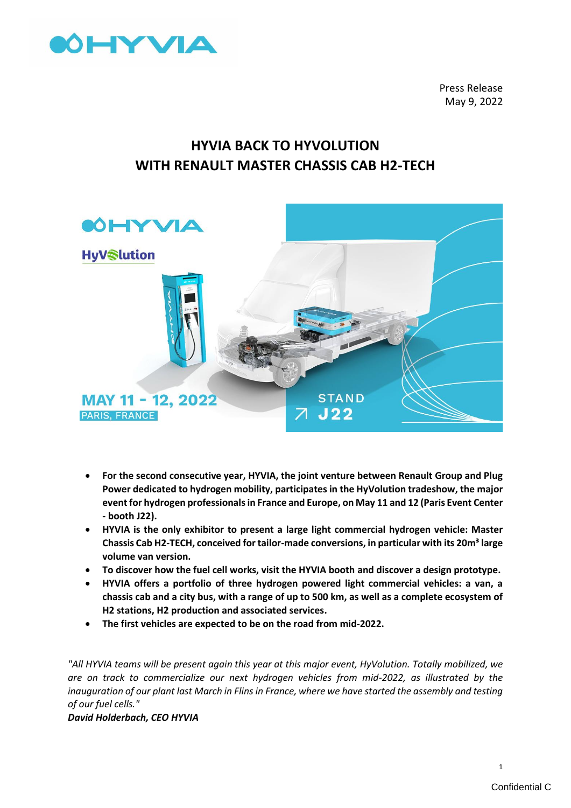

Press Release May 9, 2022

# **HYVIA BACK TO HYVOLUTION WITH RENAULT MASTER CHASSIS CAB H2-TECH**



- **For the second consecutive year, HYVIA, the joint venture between Renault Group and Plug Power dedicated to hydrogen mobility, participates in the HyVolution tradeshow, the major event for hydrogen professionals in France and Europe, on May 11 and 12 (Paris Event Center - booth J22).**
- **HYVIA is the only exhibitor to present a large light commercial hydrogen vehicle: Master Chassis Cab H2-TECH, conceived for tailor-made conversions, in particular with its 20m³ large volume van version.**
- **To discover how the fuel cell works, visit the HYVIA booth and discover a design prototype.**
- **HYVIA offers a portfolio of three hydrogen powered light commercial vehicles: a van, a chassis cab and a city bus, with a range of up to 500 km, as well as a complete ecosystem of H2 stations, H2 production and associated services.**
- **The first vehicles are expected to be on the road from mid-2022.**

*"All HYVIA teams will be present again this year at this major event, HyVolution. Totally mobilized, we are on track to commercialize our next hydrogen vehicles from mid-2022, as illustrated by the inauguration of our plant last March in Flins in France, where we have started the assembly and testing of our fuel cells."* 

*David Holderbach, CEO HYVIA*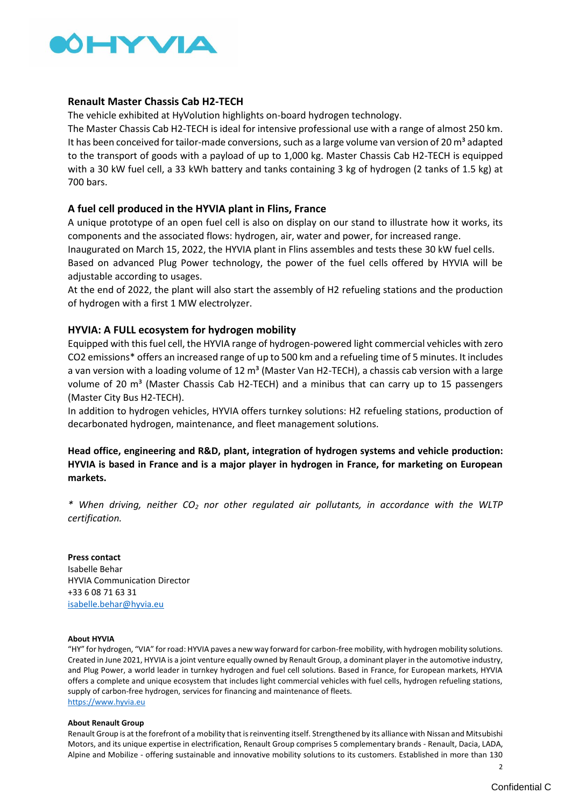

### **Renault Master Chassis Cab H2-TECH**

The vehicle exhibited at HyVolution highlights on-board hydrogen technology.

The Master Chassis Cab H2-TECH is ideal for intensive professional use with a range of almost 250 km. It has been conceived for tailor-made conversions, such as a large volume van version of 20  $\text{m}^3$  adapted to the transport of goods with a payload of up to 1,000 kg. Master Chassis Cab H2-TECH is equipped with a 30 kW fuel cell, a 33 kWh battery and tanks containing 3 kg of hydrogen (2 tanks of 1.5 kg) at 700 bars.

## **A fuel cell produced in the HYVIA plant in Flins, France**

A unique prototype of an open fuel cell is also on display on our stand to illustrate how it works, its components and the associated flows: hydrogen, air, water and power, for increased range.

Inaugurated on March 15, 2022, the HYVIA plant in Flins assembles and tests these 30 kW fuel cells. Based on advanced Plug Power technology, the power of the fuel cells offered by HYVIA will be adjustable according to usages.

At the end of 2022, the plant will also start the assembly of H2 refueling stations and the production of hydrogen with a first 1 MW electrolyzer.

## **HYVIA: A FULL ecosystem for hydrogen mobility**

Equipped with this fuel cell, the HYVIA range of hydrogen-powered light commercial vehicles with zero CO2 emissions\* offers an increased range of up to 500 km and a refueling time of 5 minutes. It includes a van version with a loading volume of 12 m<sup>3</sup> (Master Van H2-TECH), a chassis cab version with a large volume of 20  $m<sup>3</sup>$  (Master Chassis Cab H2-TECH) and a minibus that can carry up to 15 passengers (Master City Bus H2-TECH).

In addition to hydrogen vehicles, HYVIA offers turnkey solutions: H2 refueling stations, production of decarbonated hydrogen, maintenance, and fleet management solutions.

## **Head office, engineering and R&D, plant, integration of hydrogen systems and vehicle production: HYVIA is based in France and is a major player in hydrogen in France, for marketing on European markets.**

*\* When driving, neither CO<sup>2</sup> nor other regulated air pollutants, in accordance with the WLTP certification.*

**Press contact** Isabelle Behar HYVIA Communication Director +33 6 08 71 63 31 [isabelle.behar@hyvia.eu](mailto:isabelle.behar@hyvia.eu)

#### **About HYVIA**

"HY" for hydrogen, "VIA" for road: HYVIA paves a new way forward for carbon-free mobility, with hydrogen mobility solutions. Created in June 2021, HYVIA is a joint venture equally owned by Renault Group, a dominant player in the automotive industry, and Plug Power, a world leader in turnkey hydrogen and fuel cell solutions. Based in France, for European markets, HYVIA offers a complete and unique ecosystem that includes light commercial vehicles with fuel cells, hydrogen refueling stations, supply of carbon-free hydrogen, services for financing and maintenance of fleets. [https://www.hyvia.eu](https://www.hyvia.eu/)

#### **About Renault Group**

Renault Group is at the forefront of a mobility that is reinventing itself. Strengthened by its alliance with Nissan and Mitsubishi Motors, and its unique expertise in electrification, Renault Group comprises 5 complementary brands - Renault, Dacia, LADA, Alpine and Mobilize - offering sustainable and innovative mobility solutions to its customers. Established in more than 130